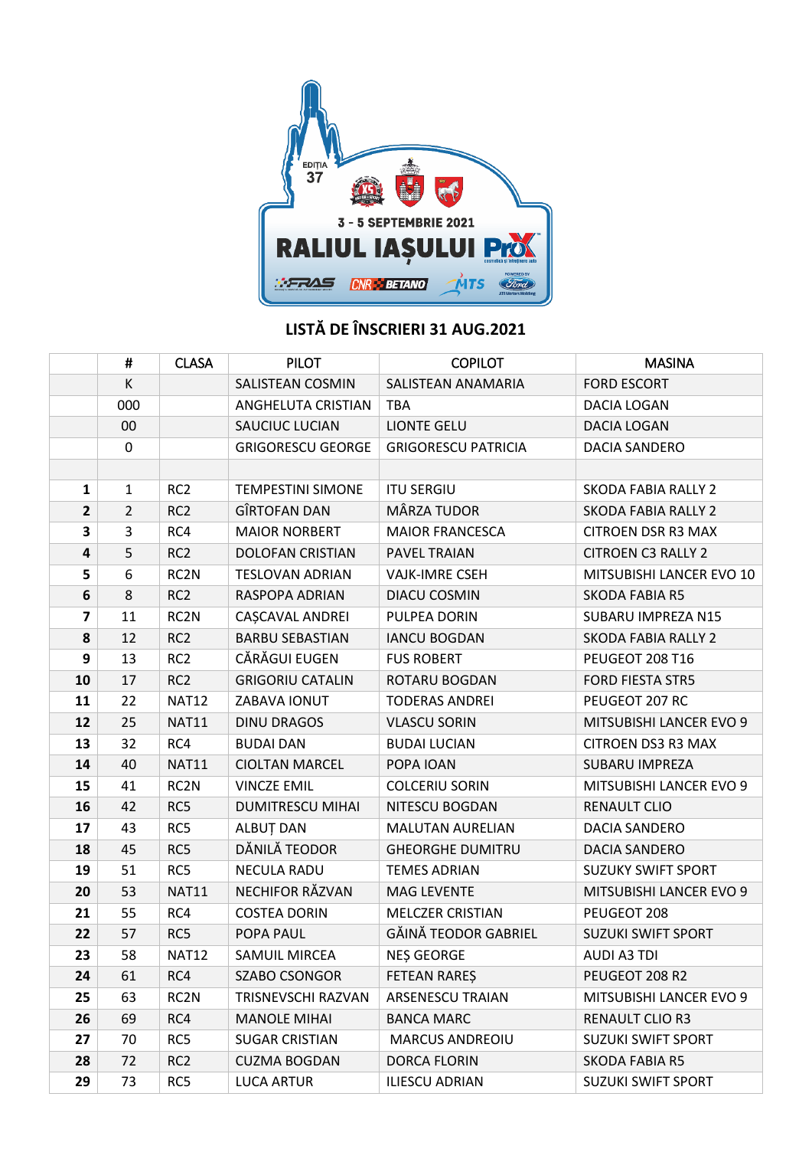

## **LISTĂ DE ÎNSCRIERI 31 AUG.2021**

|                         | #              | <b>CLASA</b>      | <b>PILOT</b>             | <b>COPILOT</b>             | <b>MASINA</b>              |
|-------------------------|----------------|-------------------|--------------------------|----------------------------|----------------------------|
|                         | К              |                   | SALISTEAN COSMIN         | SALISTEAN ANAMARIA         | <b>FORD ESCORT</b>         |
|                         | 000            |                   | ANGHELUTA CRISTIAN       | <b>TBA</b>                 | <b>DACIA LOGAN</b>         |
|                         | 00             |                   | SAUCIUC LUCIAN           | <b>LIONTE GELU</b>         | DACIA LOGAN                |
|                         | 0              |                   | <b>GRIGORESCU GEORGE</b> | <b>GRIGORESCU PATRICIA</b> | <b>DACIA SANDERO</b>       |
|                         |                |                   |                          |                            |                            |
| $\mathbf{1}$            | $\mathbf{1}$   | RC <sub>2</sub>   | <b>TEMPESTINI SIMONE</b> | <b>ITU SERGIU</b>          | <b>SKODA FABIA RALLY 2</b> |
| $\mathbf{2}$            | $\overline{2}$ | RC <sub>2</sub>   | GÎRTOFAN DAN             | MÂRZA TUDOR                | <b>SKODA FABIA RALLY 2</b> |
| 3                       | 3              | RC4               | <b>MAIOR NORBERT</b>     | <b>MAIOR FRANCESCA</b>     | <b>CITROEN DSR R3 MAX</b>  |
| 4                       | 5              | RC <sub>2</sub>   | <b>DOLOFAN CRISTIAN</b>  | PAVEL TRAIAN               | <b>CITROEN C3 RALLY 2</b>  |
| 5                       | 6              | RC <sub>2</sub> N | <b>TESLOVAN ADRIAN</b>   | <b>VAJK-IMRE CSEH</b>      | MITSUBISHI LANCER EVO 10   |
| 6                       | 8              | RC <sub>2</sub>   | RASPOPA ADRIAN           | DIACU COSMIN               | <b>SKODA FABIA R5</b>      |
| $\overline{\mathbf{z}}$ | 11             | RC <sub>2</sub> N | CAȘCAVAL ANDREI          | PULPEA DORIN               | SUBARU IMPREZA N15         |
| 8                       | 12             | RC <sub>2</sub>   | <b>BARBU SEBASTIAN</b>   | <b>IANCU BOGDAN</b>        | SKODA FABIA RALLY 2        |
| 9                       | 13             | RC <sub>2</sub>   | CĂRĂGUI EUGEN            | <b>FUS ROBERT</b>          | PEUGEOT 208 T16            |
| 10                      | 17             | RC <sub>2</sub>   | <b>GRIGORIU CATALIN</b>  | ROTARU BOGDAN              | <b>FORD FIESTA STR5</b>    |
| 11                      | 22             | <b>NAT12</b>      | ZABAVA IONUT             | <b>TODERAS ANDREI</b>      | PEUGEOT 207 RC             |
| 12                      | 25             | <b>NAT11</b>      | <b>DINU DRAGOS</b>       | <b>VLASCU SORIN</b>        | MITSUBISHI LANCER EVO 9    |
| 13                      | 32             | RC4               | <b>BUDAI DAN</b>         | <b>BUDAI LUCIAN</b>        | <b>CITROEN DS3 R3 MAX</b>  |
| 14                      | 40             | <b>NAT11</b>      | <b>CIOLTAN MARCEL</b>    | POPA IOAN                  | SUBARU IMPREZA             |
| 15                      | 41             | RC <sub>2</sub> N | <b>VINCZE EMIL</b>       | <b>COLCERIU SORIN</b>      | MITSUBISHI LANCER EVO 9    |
| 16                      | 42             | RC5               | <b>DUMITRESCU MIHAI</b>  | NITESCU BOGDAN             | <b>RENAULT CLIO</b>        |
| 17                      | 43             | RC5               | ALBUȚ DAN                | <b>MALUTAN AURELIAN</b>    | DACIA SANDERO              |
| 18                      | 45             | RC5               | DĂNILĂ TEODOR            | <b>GHEORGHE DUMITRU</b>    | DACIA SANDERO              |
| 19                      | 51             | RC5               | <b>NECULA RADU</b>       | <b>TEMES ADRIAN</b>        | <b>SUZUKY SWIFT SPORT</b>  |
| 20                      | 53             | <b>NAT11</b>      | NECHIFOR RĂZVAN          | <b>MAG LEVENTE</b>         | MITSUBISHI LANCER EVO 9    |
| 21                      | 55             | RC4               | <b>COSTEA DORIN</b>      | <b>MELCZER CRISTIAN</b>    | PEUGEOT 208                |
| 22                      | 57             | RC5               | POPA PAUL                | GĂINĂ TEODOR GABRIEL       | <b>SUZUKI SWIFT SPORT</b>  |
| 23                      | 58             | <b>NAT12</b>      | <b>SAMUIL MIRCEA</b>     | <b>NES GEORGE</b>          | <b>AUDI A3 TDI</b>         |
| 24                      | 61             | RC4               | <b>SZABO CSONGOR</b>     | FETEAN RAREŞ               | PEUGEOT 208 R2             |
| 25                      | 63             | RC <sub>2</sub> N | TRISNEVSCHI RAZVAN       | <b>ARSENESCU TRAIAN</b>    | MITSUBISHI LANCER EVO 9    |
| 26                      | 69             | RC4               | <b>MANOLE MIHAI</b>      | <b>BANCA MARC</b>          | <b>RENAULT CLIO R3</b>     |
| 27                      | 70             | RC5               | <b>SUGAR CRISTIAN</b>    | <b>MARCUS ANDREOIU</b>     | <b>SUZUKI SWIFT SPORT</b>  |
| 28                      | 72             | RC <sub>2</sub>   | <b>CUZMA BOGDAN</b>      | DORCA FLORIN               | <b>SKODA FABIA R5</b>      |
| 29                      | 73             | RC5               | <b>LUCA ARTUR</b>        | <b>ILIESCU ADRIAN</b>      | <b>SUZUKI SWIFT SPORT</b>  |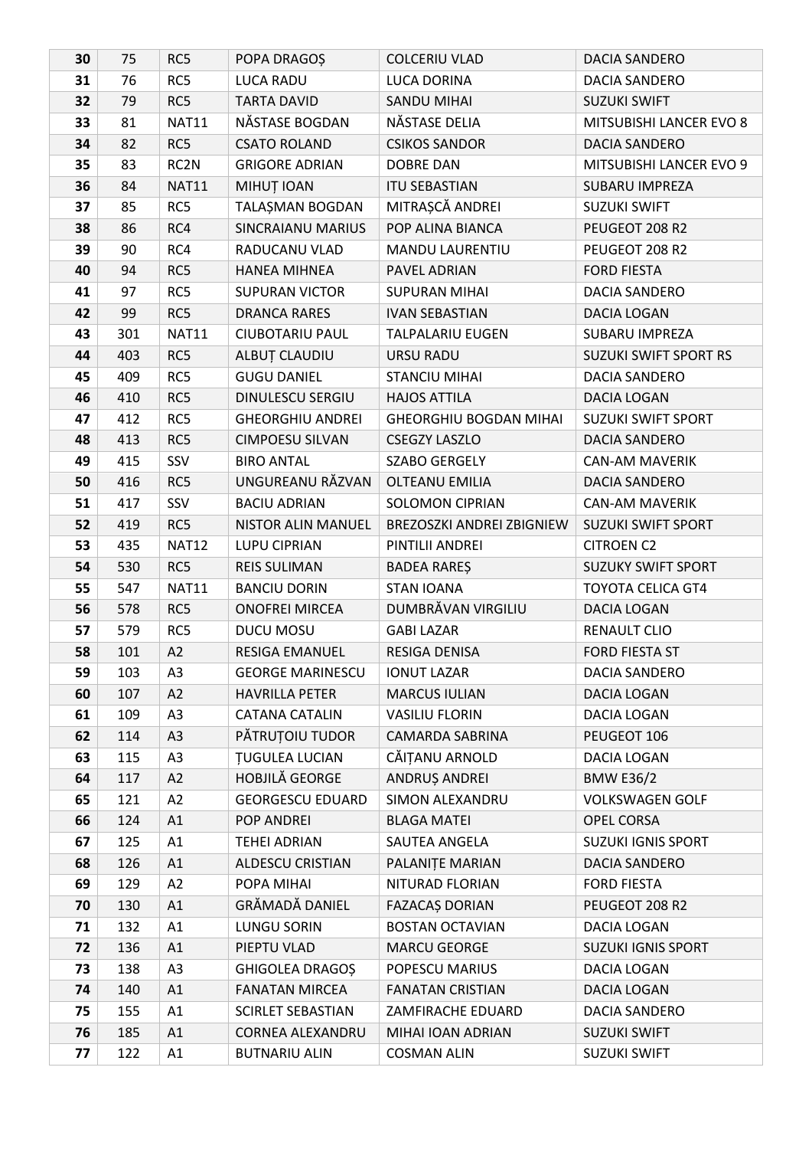| 30 | 75  | RC5               | POPA DRAGOS              | <b>COLCERIU VLAD</b>             | DACIA SANDERO                |
|----|-----|-------------------|--------------------------|----------------------------------|------------------------------|
| 31 | 76  | RC5               | <b>LUCA RADU</b>         | LUCA DORINA                      | DACIA SANDERO                |
| 32 | 79  | RC5               | <b>TARTA DAVID</b>       | <b>SANDU MIHAI</b>               | <b>SUZUKI SWIFT</b>          |
| 33 | 81  | <b>NAT11</b>      | NĂSTASE BOGDAN           | NĂSTASE DELIA                    | MITSUBISHI LANCER EVO 8      |
| 34 | 82  | RC5               | <b>CSATO ROLAND</b>      | <b>CSIKOS SANDOR</b>             | <b>DACIA SANDERO</b>         |
| 35 | 83  | RC <sub>2</sub> N | <b>GRIGORE ADRIAN</b>    | <b>DOBRE DAN</b>                 | MITSUBISHI LANCER EVO 9      |
| 36 | 84  | <b>NAT11</b>      | MIHUȚ IOAN               | <b>ITU SEBASTIAN</b>             | SUBARU IMPREZA               |
| 37 | 85  | RC5               | TALAȘMAN BOGDAN          | MITRAȘCĂ ANDREI                  | <b>SUZUKI SWIFT</b>          |
| 38 | 86  | RC4               | <b>SINCRAIANU MARIUS</b> | POP ALINA BIANCA                 | PEUGEOT 208 R2               |
| 39 | 90  | RC4               | RADUCANU VLAD            | <b>MANDU LAURENTIU</b>           | PEUGEOT 208 R2               |
| 40 | 94  | RC5               | <b>HANEA MIHNEA</b>      | PAVEL ADRIAN                     | <b>FORD FIESTA</b>           |
| 41 | 97  | RC5               | <b>SUPURAN VICTOR</b>    | <b>SUPURAN MIHAI</b>             | DACIA SANDERO                |
| 42 | 99  | RC5               | <b>DRANCA RARES</b>      | <b>IVAN SEBASTIAN</b>            | DACIA LOGAN                  |
| 43 | 301 | <b>NAT11</b>      | <b>CIUBOTARIU PAUL</b>   | <b>TALPALARIU EUGEN</b>          | <b>SUBARU IMPREZA</b>        |
| 44 | 403 | RC5               | ALBUȚ CLAUDIU            | URSU RADU                        | <b>SUZUKI SWIFT SPORT RS</b> |
| 45 | 409 | RC5               | <b>GUGU DANIEL</b>       | <b>STANCIU MIHAI</b>             | DACIA SANDERO                |
| 46 | 410 | RC5               | DINULESCU SERGIU         | <b>HAJOS ATTILA</b>              | DACIA LOGAN                  |
| 47 | 412 | RC5               | <b>GHEORGHIU ANDREI</b>  | <b>GHEORGHIU BOGDAN MIHAI</b>    | <b>SUZUKI SWIFT SPORT</b>    |
| 48 | 413 | RC5               | <b>CIMPOESU SILVAN</b>   | <b>CSEGZY LASZLO</b>             | <b>DACIA SANDERO</b>         |
| 49 | 415 | SSV               | <b>BIRO ANTAL</b>        | SZABO GERGELY                    | <b>CAN-AM MAVERIK</b>        |
| 50 | 416 | RC5               | UNGUREANU RĂZVAN         | <b>OLTEANU EMILIA</b>            | <b>DACIA SANDERO</b>         |
| 51 | 417 | SSV               | <b>BACIU ADRIAN</b>      | <b>SOLOMON CIPRIAN</b>           | <b>CAN-AM MAVERIK</b>        |
| 52 | 419 | RC5               | NISTOR ALIN MANUEL       | <b>BREZOSZKI ANDREI ZBIGNIEW</b> | <b>SUZUKI SWIFT SPORT</b>    |
| 53 | 435 | <b>NAT12</b>      | LUPU CIPRIAN             | PINTILII ANDREI                  | <b>CITROEN C2</b>            |
| 54 | 530 | RC5               | <b>REIS SULIMAN</b>      | <b>BADEA RARES</b>               | <b>SUZUKY SWIFT SPORT</b>    |
| 55 | 547 | <b>NAT11</b>      | <b>BANCIU DORIN</b>      | <b>STAN IOANA</b>                | <b>TOYOTA CELICA GT4</b>     |
| 56 | 578 | RC5               | <b>ONOFREI MIRCEA</b>    | DUMBRĂVAN VIRGILIU               | DACIA LOGAN                  |
| 57 | 579 | RC5               | DUCU MOSU                | <b>GABI LAZAR</b>                | <b>RENAULT CLIO</b>          |
| 58 | 101 | A2                | <b>RESIGA EMANUEL</b>    | RESIGA DENISA                    | <b>FORD FIESTA ST</b>        |
| 59 | 103 | A <sub>3</sub>    | <b>GEORGE MARINESCU</b>  | <b>IONUT LAZAR</b>               | DACIA SANDERO                |
| 60 | 107 | A2                | <b>HAVRILLA PETER</b>    | <b>MARCUS IULIAN</b>             | DACIA LOGAN                  |
| 61 | 109 | A3                | <b>CATANA CATALIN</b>    | <b>VASILIU FLORIN</b>            | DACIA LOGAN                  |
| 62 | 114 | A3                | PĂTRUȚOIU TUDOR          | <b>CAMARDA SABRINA</b>           | PEUGEOT 106                  |
| 63 | 115 | A3                | <b>TUGULEA LUCIAN</b>    | CĂIȚANU ARNOLD                   | DACIA LOGAN                  |
| 64 | 117 | A2                | HOBJILĂ GEORGE           | ANDRUȘ ANDREI                    | <b>BMW E36/2</b>             |
| 65 | 121 | A2                | <b>GEORGESCU EDUARD</b>  | SIMON ALEXANDRU                  | <b>VOLKSWAGEN GOLF</b>       |
| 66 | 124 | A1                | POP ANDREI               | <b>BLAGA MATEI</b>               | OPEL CORSA                   |
| 67 | 125 | A1                | <b>TEHEI ADRIAN</b>      | SAUTEA ANGELA                    | <b>SUZUKI IGNIS SPORT</b>    |
| 68 | 126 | A1                | <b>ALDESCU CRISTIAN</b>  | PALANITE MARIAN                  | DACIA SANDERO                |
| 69 | 129 | A2                | POPA MIHAI               | NITURAD FLORIAN                  | <b>FORD FIESTA</b>           |
| 70 | 130 | A1                | GRĂMADĂ DANIEL           | FAZACAȘ DORIAN                   | PEUGEOT 208 R2               |
| 71 | 132 | A1                | <b>LUNGU SORIN</b>       | <b>BOSTAN OCTAVIAN</b>           | DACIA LOGAN                  |
| 72 | 136 | A1                | PIEPTU VLAD              | <b>MARCU GEORGE</b>              | <b>SUZUKI IGNIS SPORT</b>    |
| 73 | 138 | A3                | <b>GHIGOLEA DRAGOS</b>   | POPESCU MARIUS                   | DACIA LOGAN                  |
| 74 | 140 | A1                | <b>FANATAN MIRCEA</b>    | <b>FANATAN CRISTIAN</b>          | DACIA LOGAN                  |
| 75 | 155 | A1                | SCIRLET SEBASTIAN        | ZAMFIRACHE EDUARD                | DACIA SANDERO                |
| 76 | 185 | A1                | CORNEA ALEXANDRU         | MIHAI IOAN ADRIAN                | <b>SUZUKI SWIFT</b>          |
| 77 | 122 | A1                | <b>BUTNARIU ALIN</b>     | <b>COSMAN ALIN</b>               | <b>SUZUKI SWIFT</b>          |